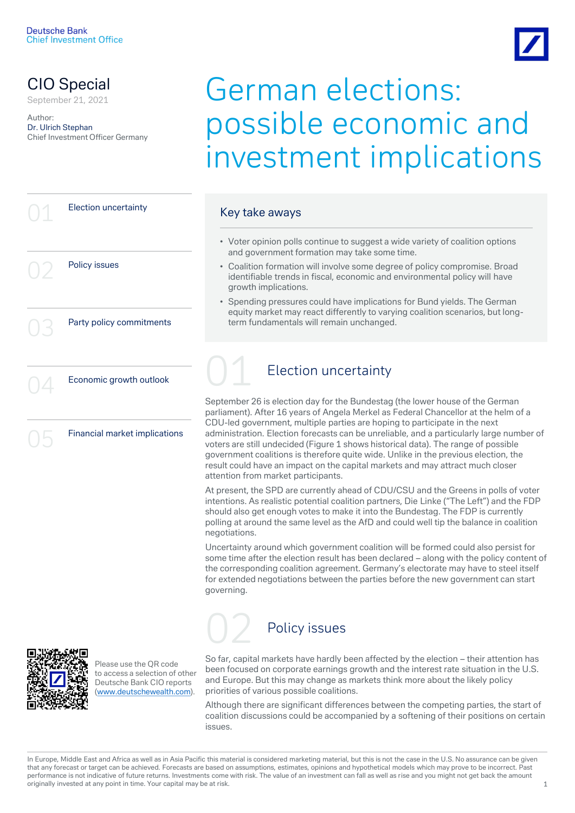

# CIO Special<br>September 21, 2021

Author: Dr. Ulrich Stephan Chief Investment Officer Germany

# German elections: possible economic and investment implications

|  | <b>Election uncertainty</b>   | Key take aways                                                                                                                                                                                                                                                                                                                                                                                                                                                                                                                                                                                                                                       |
|--|-------------------------------|------------------------------------------------------------------------------------------------------------------------------------------------------------------------------------------------------------------------------------------------------------------------------------------------------------------------------------------------------------------------------------------------------------------------------------------------------------------------------------------------------------------------------------------------------------------------------------------------------------------------------------------------------|
|  |                               | • Voter opinion polls continue to suggest a wide variety of coalition options<br>and government formation may take some time.                                                                                                                                                                                                                                                                                                                                                                                                                                                                                                                        |
|  | Policy issues                 | • Coalition formation will involve some degree of policy compromise. Broad<br>identifiable trends in fiscal, economic and environmental policy will have<br>growth implications.                                                                                                                                                                                                                                                                                                                                                                                                                                                                     |
|  | Party policy commitments      | • Spending pressures could have implications for Bund yields. The German<br>equity market may react differently to varying coalition scenarios, but long-<br>term fundamentals will remain unchanged.                                                                                                                                                                                                                                                                                                                                                                                                                                                |
|  | Economic growth outlook       | <b>Election uncertainty</b>                                                                                                                                                                                                                                                                                                                                                                                                                                                                                                                                                                                                                          |
|  | Financial market implications | September 26 is election day for the Bundestag (the lower house of the German<br>parliament). After 16 years of Angela Merkel as Federal Chancellor at the helm of a<br>CDU-led government, multiple parties are hoping to participate in the next<br>administration. Election forecasts can be unreliable, and a particularly large number of<br>voters are still undecided (Figure 1 shows historical data). The range of possible<br>government coalitions is therefore quite wide. Unlike in the previous election, the<br>result could have an impact on the capital markets and may attract much closer<br>attention from market participants. |
|  |                               | At present, the SPD are currently ahead of CDU/CSU and the Greens in polls of voter<br>intentions. As realistic potential coalition partners, Die Linke ("The Left") and the FDP<br>should also get enough votes to make it into the Bundestag. The FDP is currently<br>polling at around the same level as the AfD and could well tip the balance in coalition<br>negotiations.                                                                                                                                                                                                                                                                     |
|  |                               | Uncertainty around which government coalition will be formed could also persist for<br>some time after the election result has been declared – along with the policy content of                                                                                                                                                                                                                                                                                                                                                                                                                                                                      |

some time after the election result has been declared – along with the policy content of the corresponding coalition agreement. Germany's electorate may have to steel itself for extended negotiations between the parties before the new government can start governing.



Please use the QR code to access a selection of other Deutsche Bank CIO reports ([www.deutschewealth.com](http://www.deutschewealth.com/)).

So far, capital markets have hardly been affected by the election – their attention has been focused on corporate earnings growth and the interest rate situation in the U.S. and Europe. But this may change as markets think more about the likely policy priorities of various possible coalitions.

Although there are significant differences between the competing parties, the start of coalition discussions could be accompanied by a softening of their positions on certain issues.

In Europe, Middle East and Africa as well as in Asia Pacific this material is considered marketing material, but this is not the case in the U.S. No assurance can be given that any forecast or target can be achieved. Forecasts are based on assumptions, estimates, opinions and hypothetical models which may prove to be incorrect. Past performance is not indicative of future returns. Investments come with risk. The value of an investment can fall as well as rise and you might not get back the amount originally invested at any point in time. Your capital may be at risk. 1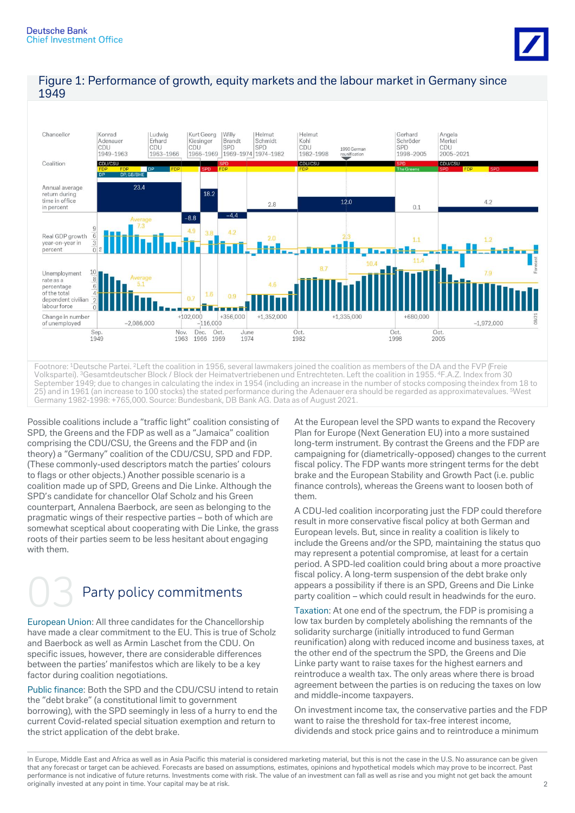



### Figure 1: Performance of growth, equity markets and the labour market in Germany since 1949

Possible coalitions include a "traffic light" coalition consisting of SPD, the Greens and the FDP as well as a "Jamaica" coalition comprising the CDU/CSU, the Greens and the FDP and (in theory) a "Germany" coalition of the CDU/CSU, SPD and FDP. (These commonly-used descriptors match the parties' colours to flags or other objects.) Another possible scenario is a coalition made up of SPD, Greens and Die Linke. Although the SPD's candidate for chancellor Olaf Scholz and his Green counterpart, Annalena Baerbock, are seen as belonging to the pragmatic wings of their respective parties – both of which are somewhat sceptical about cooperating with Die Linke, the grass roots of their parties seem to be less hesitant about engaging with them.

# Party policy commitments

European Union: All three candidates for the Chancellorship have made a clear commitment to the EU. This is true of Scholz and Baerbock as well as Armin Laschet from the CDU. On specific issues, however, there are considerable differences between the parties' manifestos which are likely to be a key factor during coalition negotiations.

Public finance: Both the SPD and the CDU/CSU intend to retain the "debt brake" (a constitutional limit to government borrowing), with the SPD seemingly in less of a hurry to end the current Covid-related special situation exemption and return to the strict application of the debt brake.

At the European level the SPD wants to expand the Recovery Plan for Europe (Next Generation EU) into a more sustained long-term instrument. By contrast the Greens and the FDP are campaigning for (diametrically-opposed) changes to the current fiscal policy. The FDP wants more stringent terms for the debt brake and the European Stability and Growth Pact (i.e. public finance controls), whereas the Greens want to loosen both of them.

A CDU-led coalition incorporating just the FDP could therefore result in more conservative fiscal policy at both German and European levels. But, since in reality a coalition is likely to include the Greens and/or the SPD, maintaining the status quo may represent a potential compromise, at least for a certain period. A SPD-led coalition could bring about a more proactive fiscal policy. A long-term suspension of the debt brake only appears a possibility if there is an SPD, Greens and Die Linke party coalition – which could result in headwinds for the euro.

Taxation: At one end of the spectrum, the FDP is promising a low tax burden by completely abolishing the remnants of the solidarity surcharge (initially introduced to fund German reunification) along with reduced income and business taxes, at the other end of the spectrum the SPD, the Greens and Die Linke party want to raise taxes for the highest earners and reintroduce a wealth tax. The only areas where there is broad agreement between the parties is on reducing the taxes on low and middle-income taxpayers.

On investment income tax, the conservative parties and the FDP want to raise the threshold for tax-free interest income, dividends and stock price gains and to reintroduce a minimum

In Europe, Middle East and Africa as well as in Asia Pacific this material is considered marketing material, but this is not the case in the U.S. No assurance can be given that any forecast or target can be achieved. Forecasts are based on assumptions, estimates, opinions and hypothetical models which may prove to be incorrect. Past performance is not indicative of future returns. Investments come with risk. The value of an investment can fall as well as rise and you might not get back the amount originally invested at any point in time. Your capital may be at risk. 2008. 2012 12:30 AM ST 2008 2012 12:30 AM ST 2008 2012 12:30 AM ST 2008 2012 12:30 AM ST 2012 12:30 AM ST 2012 12:30 AM ST 2012 12:30 AM ST 2012 12:30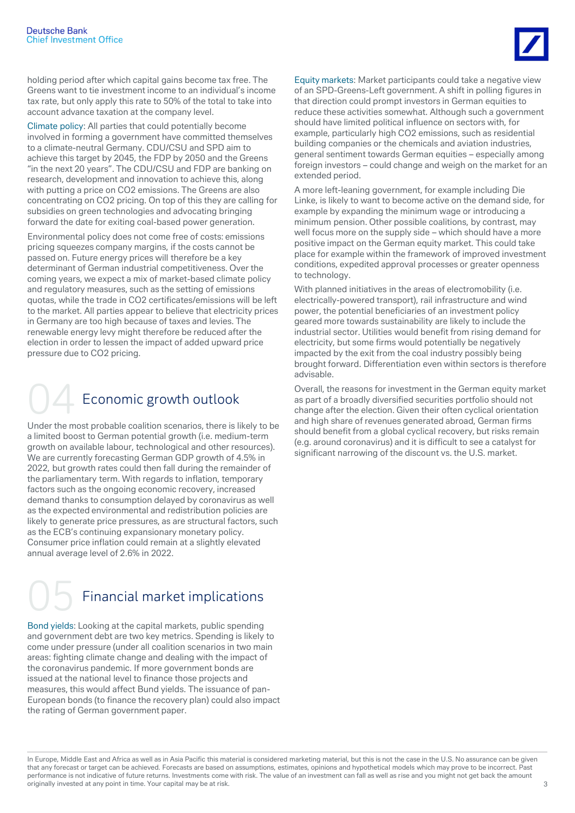

holding period after which capital gains become tax free. The Greens want to tie investment income to an individual's income tax rate, but only apply this rate to 50% of the total to take into account advance taxation at the company level.

Climate policy: All parties that could potentially become involved in forming a government have committed themselves to a climate-neutral Germany. CDU/CSU and SPD aim to achieve this target by 2045, the FDP by 2050 and the Greens "in the next 20 years". The CDU/CSU and FDP are banking on research, development and innovation to achieve this, along with putting a price on CO2 emissions. The Greens are also concentrating on CO2 pricing. On top of this they are calling for subsidies on green technologies and advocating bringing forward the date for exiting coal-based power generation.

Environmental policy does not come free of costs: emissions pricing squeezes company margins, if the costs cannot be passed on. Future energy prices will therefore be a key determinant of German industrial competitiveness. Over the coming years, we expect a mix of market-based climate policy and regulatory measures, such as the setting of emissions quotas, while the trade in CO2 certificates/emissions will be left to the market. All parties appear to believe that electricity prices in Germany are too high because of taxes and levies. The renewable energy levy might therefore be reduced after the election in order to lessen the impact of added upward price pressure due to CO2 pricing.

# Economic growth outlook

Under the most probable coalition scenarios, there is likely to be a limited boost to German potential growth (i.e. medium-term growth on available labour, technological and other resources). We are currently forecasting German GDP growth of 4.5% in 2022, but growth rates could then fall during the remainder of the parliamentary term. With regards to inflation, temporary factors such as the ongoing economic recovery, increased demand thanks to consumption delayed by coronavirus as well as the expected environmental and redistribution policies are likely to generate price pressures, as are structural factors, such as the ECB's continuing expansionary monetary policy. Consumer price inflation could remain at a slightly elevated annual average level of 2.6% in 2022.

# Financial market implications

Bond yields: Looking at the capital markets, public spending and government debt are two key metrics. Spending is likely to come under pressure (under all coalition scenarios in two main areas: fighting climate change and dealing with the impact of the coronavirus pandemic. If more government bonds are issued at the national level to finance those projects and measures, this would affect Bund yields. The issuance of pan-European bonds (to finance the recovery plan) could also impact the rating of German government paper.

Equity markets: Market participants could take a negative view of an SPD-Greens-Left government. A shift in polling figures in that direction could prompt investors in German equities to reduce these activities somewhat. Although such a government should have limited political influence on sectors with, for example, particularly high CO2 emissions, such as residential building companies or the chemicals and aviation industries, general sentiment towards German equities – especially among foreign investors – could change and weigh on the market for an extended period.

A more left-leaning government, for example including Die Linke, is likely to want to become active on the demand side, for example by expanding the minimum wage or introducing a minimum pension. Other possible coalitions, by contrast, may well focus more on the supply side – which should have a more positive impact on the German equity market. This could take place for example within the framework of improved investment conditions, expedited approval processes or greater openness to technology.

With planned initiatives in the areas of electromobility (i.e. electrically-powered transport), rail infrastructure and wind power, the potential beneficiaries of an investment policy geared more towards sustainability are likely to include the industrial sector. Utilities would benefit from rising demand for electricity, but some firms would potentially be negatively impacted by the exit from the coal industry possibly being brought forward. Differentiation even within sectors is therefore advisable.

Overall, the reasons for investment in the German equity market as part of a broadly diversified securities portfolio should not change after the election. Given their often cyclical orientation and high share of revenues generated abroad, German firms should benefit from a global cyclical recovery, but risks remain (e.g. around coronavirus) and it is difficult to see a catalyst for significant narrowing of the discount vs. the U.S. market.

In Europe, Middle East and Africa as well as in Asia Pacific this material is considered marketing material, but this is not the case in the U.S. No assurance can be given that any forecast or target can be achieved. Forecasts are based on assumptions, estimates, opinions and hypothetical models which may prove to be incorrect. Past performance is not indicative of future returns. Investments come with risk. The value of an investment can fall as well as rise and you might not get back the amount originally invested at any point in time. Your capital may be at risk. 33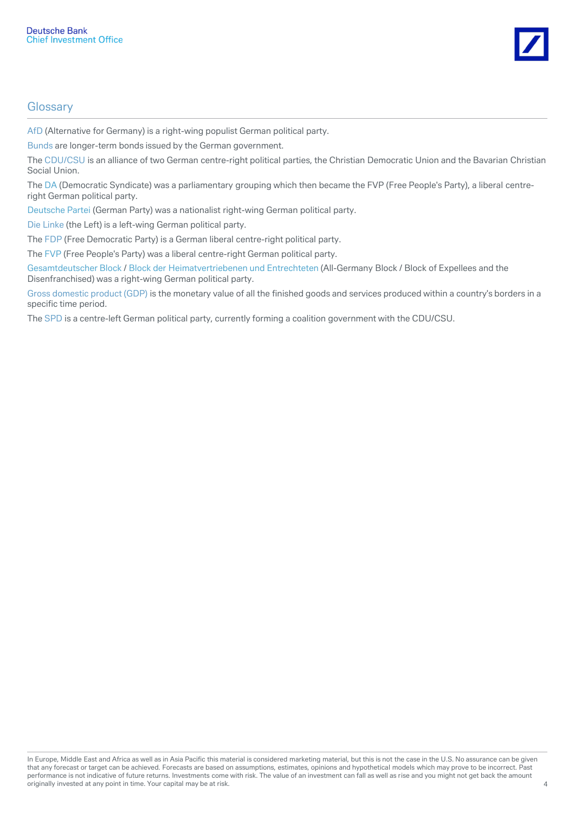

## **Glossary**

AfD (Alternative for Germany) is a right-wing populist German political party.

Bunds are longer-term bonds issued by the German government.

The CDU/CSU is an alliance of two German centre-right political parties, the Christian Democratic Union and the Bavarian Christian Social Union.

The DA (Democratic Syndicate) was a parliamentary grouping which then became the FVP (Free People's Party), a liberal centreright German political party.

Deutsche Partei (German Party) was a nationalist right-wing German political party.

Die Linke (the Left) is a left-wing German political party.

The FDP (Free Democratic Party) is a German liberal centre-right political party.

The FVP (Free People's Party) was a liberal centre-right German political party.

Gesamtdeutscher Block / Block der Heimatvertriebenen und Entrechteten (All-Germany Block / Block of Expellees and the Disenfranchised) was a right-wing German political party.

Gross domestic product (GDP) is the monetary value of all the finished goods and services produced within a country's borders in a specific time period.

The SPD is a centre-left German political party, currently forming a coalition government with the CDU/CSU.

In Europe, Middle East and Africa as well as in Asia Pacific this material is considered marketing material, but this is not the case in the U.S. No assurance can be given that any forecast or target can be achieved. Forecasts are based on assumptions, estimates, opinions and hypothetical models which may prove to be incorrect. Past performance is not indicative of future returns. Investments come with risk. The value of an investment can fall as well as rise and you might not get back the amount originally invested at any point in time. Your capital may be at risk. 4 and 2008 of the state of the state of the state of the state of the state of the state of the state of the state of the state of the state of the sta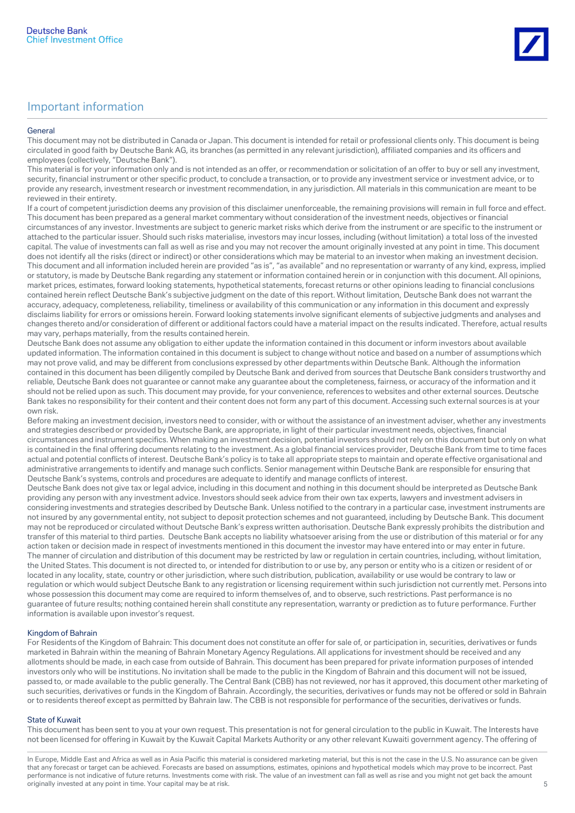#### General

This document may not be distributed in Canada or Japan. This document is intended for retail or professional clients only. This document is being circulated in good faith by Deutsche Bank AG, its branches (as permitted in any relevant jurisdiction), affiliated companies and its officers and employees (collectively, "Deutsche Bank").

This material is for your information only and is not intended as an offer, or recommendation or solicitation of an offer to buy or sell any investment, security, financial instrument or other specific product, to conclude a transaction, or to provide any investment service or investment advice, or to provide any research, investment research or investment recommendation, in any jurisdiction. All materials in this communication are meant to be reviewed in their entirety.

If a court of competent jurisdiction deems any provision of this disclaimer unenforceable, the remaining provisions will remain in full force and effect. This document has been prepared as a general market commentary without consideration of the investment needs, objectives or financial circumstances of any investor. Investments are subject to generic market risks which derive from the instrument or are specific to the instrument or attached to the particular issuer. Should such risks materialise, investors may incur losses, including (without limitation) a total loss of the invested capital. The value of investments can fall as well as rise and you may not recover the amount originally invested at any point in time. This document does not identify all the risks (direct or indirect) or other considerations which may be material to an investor when making an investment decision. This document and all information included herein are provided "as is", "as available" and no representation or warranty of any kind, express, implied or statutory, is made by Deutsche Bank regarding any statement or information contained herein or in conjunction with this document. All opinions, market prices, estimates, forward looking statements, hypothetical statements, forecast returns or other opinions leading to financial conclusions contained herein reflect Deutsche Bank's subjective judgment on the date of this report. Without limitation, Deutsche Bank does not warrant the accuracy, adequacy, completeness, reliability, timeliness or availability of this communication or any information in this document and expressly disclaims liability for errors or omissions herein. Forward looking statements involve significant elements of subjective judgments and analyses and changes thereto and/or consideration of different or additional factors could have a material impact on the results indicated. Therefore, actual results may vary, perhaps materially, from the results contained herein.

Deutsche Bank does not assume any obligation to either update the information contained in this document or inform investors about available updated information. The information contained in this document is subject to change without notice and based on a number of assumptions which may not prove valid, and may be different from conclusions expressed by other departments within Deutsche Bank. Although the information contained in this document has been diligently compiled by Deutsche Bank and derived from sources that Deutsche Bank considers trustworthy and reliable, Deutsche Bank does not guarantee or cannot make any guarantee about the completeness, fairness, or accuracy of the information and it should not be relied upon as such. This document may provide, for your convenience, references to websites and other external sources. Deutsche Bank takes no responsibility for their content and their content does not form any part of this document. Accessing such external sources is at your own risk.

Before making an investment decision, investors need to consider, with or without the assistance of an investment adviser, whether any investments and strategies described or provided by Deutsche Bank, are appropriate, in light of their particular investment needs, objectives, financial circumstances and instrument specifics. When making an investment decision, potential investors should not rely on this document but only on what is contained in the final offering documents relating to the investment. As a global financial services provider, Deutsche Bank from time to time faces actual and potential conflicts of interest. Deutsche Bank's policy is to take all appropriate steps to maintain and operate effective organisational and administrative arrangements to identify and manage such conflicts. Senior management within Deutsche Bank are responsible for ensuring that Deutsche Bank's systems, controls and procedures are adequate to identify and manage conflicts of interest.

Deutsche Bank does not give tax or legal advice, including in this document and nothing in this document should be interpreted as Deutsche Bank providing any person with any investment advice. Investors should seek advice from their own tax experts, lawyers and investment advisers in considering investments and strategies described by Deutsche Bank. Unless notified to the contrary in a particular case, investment instruments are not insured by any governmental entity, not subject to deposit protection schemes and not guaranteed, including by Deutsche Bank. This document may not be reproduced or circulated without Deutsche Bank's express written authorisation. Deutsche Bank expressly prohibits the distribution and transfer of this material to third parties. Deutsche Bank accepts no liability whatsoever arising from the use or distribution of this material or for any action taken or decision made in respect of investments mentioned in this document the investor may have entered into or may enter in future. The manner of circulation and distribution of this document may be restricted by law or regulation in certain countries, including, without limitation, the United States. This document is not directed to, or intended for distribution to or use by, any person or entity who is a citizen or resident of or located in any locality, state, country or other jurisdiction, where such distribution, publication, availability or use would be contrary to law or regulation or which would subject Deutsche Bank to any registration or licensing requirement within such jurisdiction not currently met. Persons into whose possession this document may come are required to inform themselves of, and to observe, such restrictions. Past performance is no guarantee of future results; nothing contained herein shall constitute any representation, warranty or prediction as to future performance. Further information is available upon investor's request.

### Kingdom of Bahrain

For Residents of the Kingdom of Bahrain: This document does not constitute an offer for sale of, or participation in, securities, derivatives or funds marketed in Bahrain within the meaning of Bahrain Monetary Agency Regulations. All applications for investment should be received and any allotments should be made, in each case from outside of Bahrain. This document has been prepared for private information purposes of intended investors only who will be institutions. No invitation shall be made to the public in the Kingdom of Bahrain and this document will not be issued, passed to, or made available to the public generally. The Central Bank (CBB) has not reviewed, nor has it approved, this document other marketing of such securities, derivatives or funds in the Kingdom of Bahrain. Accordingly, the securities, derivatives or funds may not be offered or sold in Bahrain or to residents thereof except as permitted by Bahrain law. The CBB is not responsible for performance of the securities, derivatives or funds.

#### State of Kuwait

This document has been sent to you at your own request. This presentation is not for general circulation to the public in Kuwait. The Interests have not been licensed for offering in Kuwait by the Kuwait Capital Markets Authority or any other relevant Kuwaiti government agency. The offering of

In Europe, Middle East and Africa as well as in Asia Pacific this material is considered marketing material, but this is not the case in the U.S. No assurance can be given that any forecast or target can be achieved. Forecasts are based on assumptions, estimates, opinions and hypothetical models which may prove to be incorrect. Past performance is not indicative of future returns. Investments come with risk. The value of an investment can fall as well as rise and you might not get back the amount originally invested at any point in time. Your capital may be at risk. Suppose that is a state of the state of the state of the state of the state of the state of the state of the state of the state of the state of the sta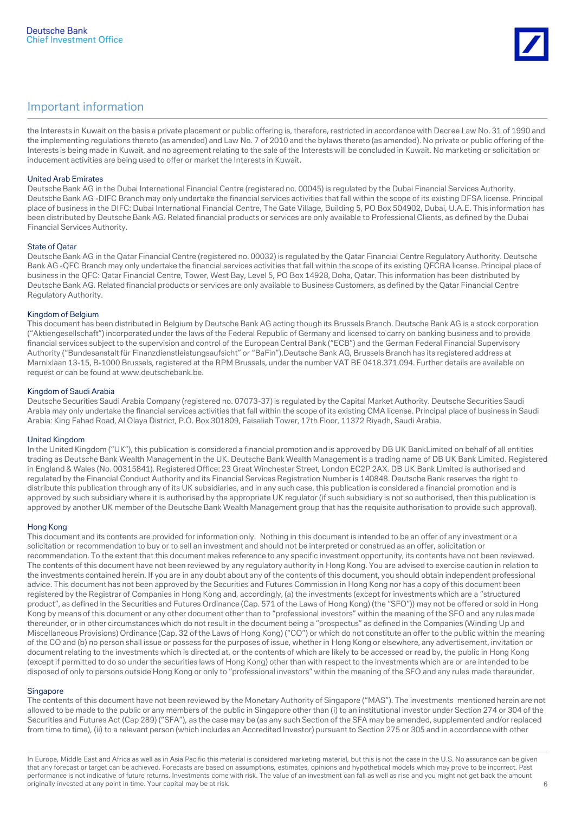

the Interests in Kuwait on the basis a private placement or public offering is, therefore, restricted in accordance with Decree Law No. 31 of 1990 and the implementing regulations thereto (as amended) and Law No. 7 of 2010 and the bylaws thereto (as amended). No private or public offering of the Interests is being made in Kuwait, and no agreement relating to the sale of the Interests will be concluded in Kuwait. No marketing or solicitation or inducement activities are being used to offer or market the Interests in Kuwait.

#### United Arab Emirates

Deutsche Bank AG in the Dubai International Financial Centre (registered no. 00045) is regulated by the Dubai Financial Services Authority. Deutsche Bank AG -DIFC Branch may only undertake the financial services activities that fall within the scope of its existing DFSA license. Principal place of business in the DIFC: Dubai International Financial Centre, The Gate Village, Building 5, PO Box 504902, Dubai, U.A.E. This information has been distributed by Deutsche Bank AG. Related financial products or services are only available to Professional Clients, as defined by the Dubai Financial Services Authority.

#### State of Qatar

Deutsche Bank AG in the Qatar Financial Centre (registered no. 00032) is regulated by the Qatar Financial Centre Regulatory Authority. Deutsche Bank AG -QFC Branch may only undertake the financial services activities that fall within the scope of its existing QFCRA license. Principal place of business in the QFC: Qatar Financial Centre, Tower, West Bay, Level 5, PO Box 14928, Doha, Qatar. This information has been distributed by Deutsche Bank AG. Related financial products or services are only available to Business Customers, as defined by the Qatar Financial Centre Regulatory Authority.

#### Kingdom of Belgium

This document has been distributed in Belgium by Deutsche Bank AG acting though its Brussels Branch. Deutsche Bank AG is a stock corporation ("Aktiengesellschaft") incorporated under the laws of the Federal Republic of Germany and licensed to carry on banking business and to provide financial services subject to the supervision and control of the European Central Bank ("ECB") and the German Federal Financial Supervisory Authority ("Bundesanstalt für Finanzdienstleistungsaufsicht" or "BaFin").Deutsche Bank AG, Brussels Branch has its registered address at Marnixlaan 13-15, B-1000 Brussels, registered at the RPM Brussels, under the number VAT BE 0418.371.094. Further details are available on request or can be found at www.deutschebank.be.

#### Kingdom of Saudi Arabia

Deutsche Securities Saudi Arabia Company (registered no. 07073-37) is regulated by the Capital Market Authority. Deutsche Securities Saudi Arabia may only undertake the financial services activities that fall within the scope of its existing CMA license. Principal place of business in Saudi Arabia: King Fahad Road, Al Olaya District, P.O. Box 301809, Faisaliah Tower, 17th Floor, 11372 Riyadh, Saudi Arabia.

#### United Kingdom

In the United Kingdom ("UK"), this publication is considered a financial promotion and is approved by DB UK BankLimited on behalf of all entities trading as Deutsche Bank Wealth Management in the UK. Deutsche Bank Wealth Management is a trading name of DB UK Bank Limited. Registered in England & Wales (No. 00315841). Registered Office: 23 Great Winchester Street, London EC2P 2AX. DB UK Bank Limited is authorised and regulated by the Financial Conduct Authority and its Financial Services Registration Number is 140848. Deutsche Bank reserves the right to distribute this publication through any of its UK subsidiaries, and in any such case, this publication is considered a financial promotion and is approved by such subsidiary where it is authorised by the appropriate UK regulator (if such subsidiary is not so authorised, then this publication is approved by another UK member of the Deutsche Bank Wealth Management group that has the requisite authorisation to provide such approval).

#### Hong Kong

This document and its contents are provided for information only. Nothing in this document is intended to be an offer of any investment or a solicitation or recommendation to buy or to sell an investment and should not be interpreted or construed as an offer, solicitation or recommendation. To the extent that this document makes reference to any specific investment opportunity, its contents have not been reviewed. The contents of this document have not been reviewed by any regulatory authority in Hong Kong. You are advised to exercise caution in relation to the investments contained herein. If you are in any doubt about any of the contents of this document, you should obtain independent professional advice. This document has not been approved by the Securities and Futures Commission in Hong Kong nor has a copy of this document been registered by the Registrar of Companies in Hong Kong and, accordingly, (a) the investments (except for investments which are a "structured product", as defined in the Securities and Futures Ordinance (Cap. 571 of the Laws of Hong Kong) (the "SFO")) may not be offered or sold in Hong Kong by means of this document or any other document other than to "professional investors" within the meaning of the SFO and any rules made thereunder, or in other circumstances which do not result in the document being a "prospectus" as defined in the Companies (Winding Up and Miscellaneous Provisions) Ordinance (Cap. 32 of the Laws of Hong Kong) ("CO") or which do not constitute an offer to the public within the meaning of the CO and (b) no person shall issue or possess for the purposes of issue, whether in Hong Kong or elsewhere, any advertisement, invitation or document relating to the investments which is directed at, or the contents of which are likely to be accessed or read by, the public in Hong Kong (except if permitted to do so under the securities laws of Hong Kong) other than with respect to the investments which are or are intended to be disposed of only to persons outside Hong Kong or only to "professional investors" within the meaning of the SFO and any rules made thereunder.

#### **Singapore**

The contents of this document have not been reviewed by the Monetary Authority of Singapore ("MAS"). The investments mentioned herein are not allowed to be made to the public or any members of the public in Singapore other than (i) to an institutional investor under Section 274 or 304 of the Securities and Futures Act (Cap 289) ("SFA"), as the case may be (as any such Section of the SFA may be amended, supplemented and/or replaced from time to time), (ii) to a relevant person (which includes an Accredited Investor) pursuant to Section 275 or 305 and in accordance with other

In Europe, Middle East and Africa as well as in Asia Pacific this material is considered marketing material, but this is not the case in the U.S. No assurance can be given that any forecast or target can be achieved. Forecasts are based on assumptions, estimates, opinions and hypothetical models which may prove to be incorrect. Past performance is not indicative of future returns. Investments come with risk. The value of an investment can fall as well as rise and you might not get back the amount originally invested at any point in time. Your capital may be at risk. 6 and 1 may be at risk. 6 and 1 may be at risk.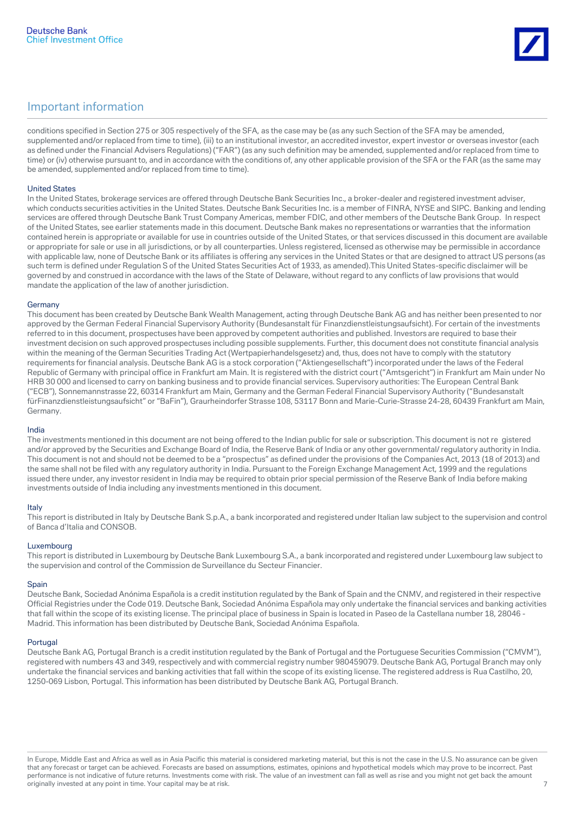

conditions specified in Section 275 or 305 respectively of the SFA, as the case may be (as any such Section of the SFA may be amended, supplemented and/or replaced from time to time), (iii) to an institutional investor, an accredited investor, expert investor or overseas investor (each as defined under the Financial Advisers Regulations) ("FAR") (as any such definition may be amended, supplemented and/or replaced from time to time) or (iv) otherwise pursuant to, and in accordance with the conditions of, any other applicable provision of the SFA or the FAR (as the same may be amended, supplemented and/or replaced from time to time).

#### United States

In the United States, brokerage services are offered through Deutsche Bank Securities Inc., a broker-dealer and registered investment adviser, which conducts securities activities in the United States. Deutsche Bank Securities Inc. is a member of FINRA, NYSE and SIPC. Banking and lending services are offered through Deutsche Bank Trust Company Americas, member FDIC, and other members of the Deutsche Bank Group. In respect of the United States, see earlier statements made in this document. Deutsche Bank makes no representations or warranties that the information contained herein is appropriate or available for use in countries outside of the United States, or that services discussed in this document are available or appropriate for sale or use in all jurisdictions, or by all counterparties. Unless registered, licensed as otherwise may be permissible in accordance with applicable law, none of Deutsche Bank or its affiliates is offering any services in the United States or that are designed to attract US persons (as such term is defined under Regulation S of the United States Securities Act of 1933, as amended).This United States-specific disclaimer will be governed by and construed in accordance with the laws of the State of Delaware, without regard to any conflicts of law provisions that would mandate the application of the law of another jurisdiction.

#### Germany

This document has been created by Deutsche Bank Wealth Management, acting through Deutsche Bank AG and has neither been presented to nor approved by the German Federal Financial Supervisory Authority (Bundesanstalt für Finanzdienstleistungsaufsicht). For certain of the investments referred to in this document, prospectuses have been approved by competent authorities and published. Investors are required to base their investment decision on such approved prospectuses including possible supplements. Further, this document does not constitute financial analysis within the meaning of the German Securities Trading Act (Wertpapierhandelsgesetz) and, thus, does not have to comply with the statutory requirements for financial analysis. Deutsche Bank AG is a stock corporation ("Aktiengesellschaft") incorporated under the laws of the Federal Republic of Germany with principal office in Frankfurt am Main. It is registered with the district court ("Amtsgericht") in Frankfurt am Main under No HRB 30 000 and licensed to carry on banking business and to provide financial services. Supervisory authorities: The European Central Bank ("ECB"), Sonnemannstrasse 22, 60314 Frankfurt am Main, Germany and the German Federal Financial Supervisory Authority ("Bundesanstalt fürFinanzdienstleistungsaufsicht" or "BaFin"), Graurheindorfer Strasse 108, 53117 Bonn and Marie-Curie-Strasse 24-28, 60439 Frankfurt am Main, Germany.

#### India

The investments mentioned in this document are not being offered to the Indian public for sale or subscription. This document is not re gistered and/or approved by the Securities and Exchange Board of India, the Reserve Bank of India or any other governmental/ regulatory authority in India. This document is not and should not be deemed to be a "prospectus" as defined under the provisions of the Companies Act, 2013 (18 of 2013) and the same shall not be filed with any regulatory authority in India. Pursuant to the Foreign Exchange Management Act, 1999 and the regulations issued there under, any investor resident in India may be required to obtain prior special permission of the Reserve Bank of India before making investments outside of India including any investments mentioned in this document.

#### Italy

This report is distributed in Italy by Deutsche Bank S.p.A., a bank incorporated and registered under Italian law subject to the supervision and control of Banca d'Italia and CONSOB.

#### Luxembourg

This report is distributed in Luxembourg by Deutsche Bank Luxembourg S.A., a bank incorporated and registered under Luxembourg law subject to the supervision and control of the Commission de Surveillance du Secteur Financier.

#### **Spain**

Deutsche Bank, Sociedad Anónima Española is a credit institution regulated by the Bank of Spain and the CNMV, and registered in their respective Official Registries under the Code 019. Deutsche Bank, Sociedad Anónima Española may only undertake the financial services and banking activities that fall within the scope of its existing license. The principal place of business in Spain is located in Paseo de la Castellana number 18, 28046 - Madrid. This information has been distributed by Deutsche Bank, Sociedad Anónima Española.

#### Portugal

Deutsche Bank AG, Portugal Branch is a credit institution regulated by the Bank of Portugal and the Portuguese Securities Commission ("CMVM"), registered with numbers 43 and 349, respectively and with commercial registry number 980459079. Deutsche Bank AG, Portugal Branch may only undertake the financial services and banking activities that fall within the scope of its existing license. The registered address is Rua Castilho, 20, 1250-069 Lisbon, Portugal. This information has been distributed by Deutsche Bank AG, Portugal Branch.

In Europe, Middle East and Africa as well as in Asia Pacific this material is considered marketing material, but this is not the case in the U.S. No assurance can be given that any forecast or target can be achieved. Forecasts are based on assumptions, estimates, opinions and hypothetical models which may prove to be incorrect. Past performance is not indicative of future returns. Investments come with risk. The value of an investment can fall as well as rise and you might not get back the amount originally invested at any point in time. Your capital may be at risk.  $\frac{1}{2}$  and  $\frac{1}{2}$  and  $\frac{1}{2}$  and  $\frac{1}{2}$  and  $\frac{1}{2}$  and  $\frac{1}{2}$  and  $\frac{1}{2}$  and  $\frac{1}{2}$  and  $\frac{1}{2}$  and  $\frac{1}{2}$  and  $\frac{1}{2}$  a